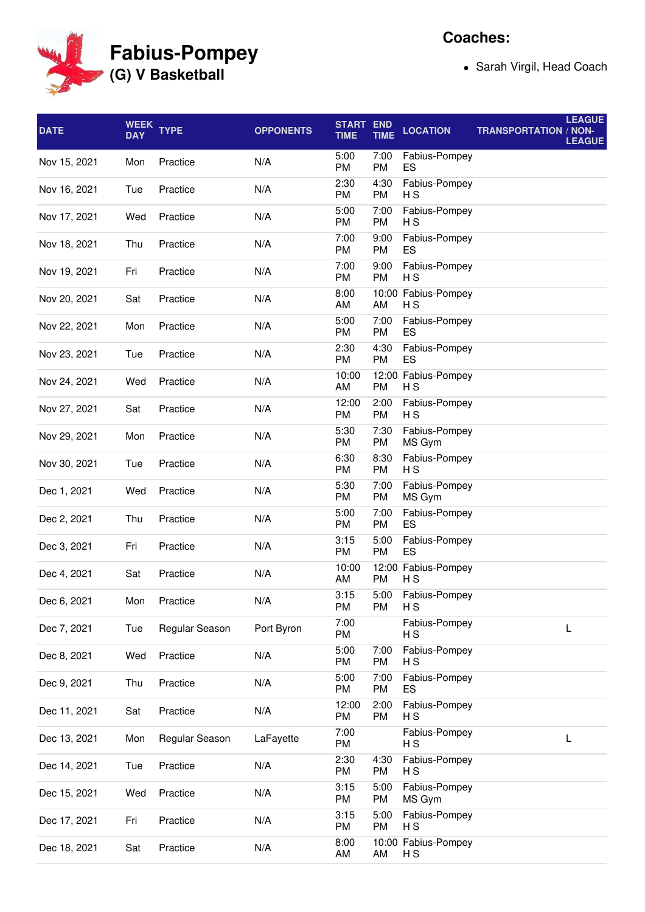**Fabius-Pompey (G) V Basketball**

**Coaches:**

Sarah Virgil, Head Coach

| <b>DATE</b>  | <b>WEEK</b><br><b>DAY</b> | <b>TYPE</b>    | <b>OPPONENTS</b> | <b>START</b><br><b>TIME</b> | <b>END</b><br><b>TIME</b> | <b>LOCATION</b>                       | <b>LEAGUE</b><br><b>TRANSPORTATION / NON-</b><br><b>LEAGUE</b> |
|--------------|---------------------------|----------------|------------------|-----------------------------|---------------------------|---------------------------------------|----------------------------------------------------------------|
| Nov 15, 2021 | Mon                       | Practice       | N/A              | 5:00<br>PM                  | 7:00<br>PM                | Fabius-Pompey<br>ES                   |                                                                |
| Nov 16, 2021 | Tue                       | Practice       | N/A              | 2:30<br>PM                  | 4:30<br><b>PM</b>         | Fabius-Pompey<br>H S                  |                                                                |
| Nov 17, 2021 | Wed                       | Practice       | N/A              | 5:00<br>PM                  | 7:00<br><b>PM</b>         | Fabius-Pompey<br>H S                  |                                                                |
| Nov 18, 2021 | Thu                       | Practice       | N/A              | 7:00<br>PM                  | 9:00<br><b>PM</b>         | Fabius-Pompey<br>ES                   |                                                                |
| Nov 19, 2021 | Fri                       | Practice       | N/A              | 7:00<br>PM                  | 9:00<br><b>PM</b>         | Fabius-Pompey<br>H S                  |                                                                |
| Nov 20, 2021 | Sat                       | Practice       | N/A              | 8:00<br>AM                  | AM                        | 10:00 Fabius-Pompey<br>H <sub>S</sub> |                                                                |
| Nov 22, 2021 | Mon                       | Practice       | N/A              | 5:00<br>PM                  | 7:00<br><b>PM</b>         | Fabius-Pompey<br>ES                   |                                                                |
| Nov 23, 2021 | Tue                       | Practice       | N/A              | 2:30<br>PM                  | 4:30<br>PM                | Fabius-Pompey<br>ES                   |                                                                |
| Nov 24, 2021 | Wed                       | Practice       | N/A              | 10:00<br>AM                 | PM                        | 12:00 Fabius-Pompey<br>НS             |                                                                |
| Nov 27, 2021 | Sat                       | Practice       | N/A              | 12:00<br>PM                 | 2:00<br><b>PM</b>         | Fabius-Pompey<br>НS                   |                                                                |
| Nov 29, 2021 | Mon                       | Practice       | N/A              | 5:30<br>PM                  | 7:30<br>PM                | Fabius-Pompey<br>MS Gym               |                                                                |
| Nov 30, 2021 | Tue                       | Practice       | N/A              | 6:30<br>PM                  | 8:30<br><b>PM</b>         | Fabius-Pompey<br>H S                  |                                                                |
| Dec 1, 2021  | Wed                       | Practice       | N/A              | 5:30<br>PM                  | 7:00<br>PM                | Fabius-Pompey<br>MS Gym               |                                                                |
| Dec 2, 2021  | Thu                       | Practice       | N/A              | 5:00<br>PM                  | 7:00<br><b>PM</b>         | Fabius-Pompey<br>ES                   |                                                                |
| Dec 3, 2021  | Fri                       | Practice       | N/A              | 3:15<br>PM                  | 5:00<br>PM                | Fabius-Pompey<br>ES                   |                                                                |
| Dec 4, 2021  | Sat                       | Practice       | N/A              | 10:00<br>AM                 | PM                        | 12:00 Fabius-Pompey<br>H <sub>S</sub> |                                                                |
| Dec 6, 2021  | Mon                       | Practice       | N/A              | 3:15<br>PM                  | 5:00<br>PM                | Fabius-Pompey<br>НS                   |                                                                |
| Dec 7, 2021  | Tue                       | Regular Season | Port Byron       | 7:00<br>PM                  |                           | Fabius-Pompey<br>H S                  | L                                                              |
| Dec 8, 2021  | Wed                       | Practice       | N/A              | 5:00<br>PM                  | 7:00<br>PM                | Fabius-Pompey<br>H S                  |                                                                |
| Dec 9, 2021  | Thu                       | Practice       | N/A              | 5:00<br>PM                  | 7:00<br>PM                | Fabius-Pompey<br>ES                   |                                                                |
| Dec 11, 2021 | Sat                       | Practice       | N/A              | 12:00<br>PM                 | 2:00<br>PM                | Fabius-Pompey<br>НS                   |                                                                |
| Dec 13, 2021 | Mon                       | Regular Season | LaFayette        | 7:00<br>PM                  |                           | Fabius-Pompey<br>НS                   | L                                                              |
| Dec 14, 2021 | Tue                       | Practice       | N/A              | 2:30<br>PM                  | 4:30<br>PM                | Fabius-Pompey<br>НS                   |                                                                |
| Dec 15, 2021 | Wed                       | Practice       | N/A              | 3:15<br>PM                  | 5:00<br>PM                | Fabius-Pompey<br>MS Gym               |                                                                |
| Dec 17, 2021 | Fri                       | Practice       | N/A              | 3:15<br>PM                  | 5:00<br>PM                | Fabius-Pompey<br>H S                  |                                                                |
| Dec 18, 2021 | Sat                       | Practice       | N/A              | 8:00<br>AM                  | AM                        | 10:00 Fabius-Pompey<br>H S            |                                                                |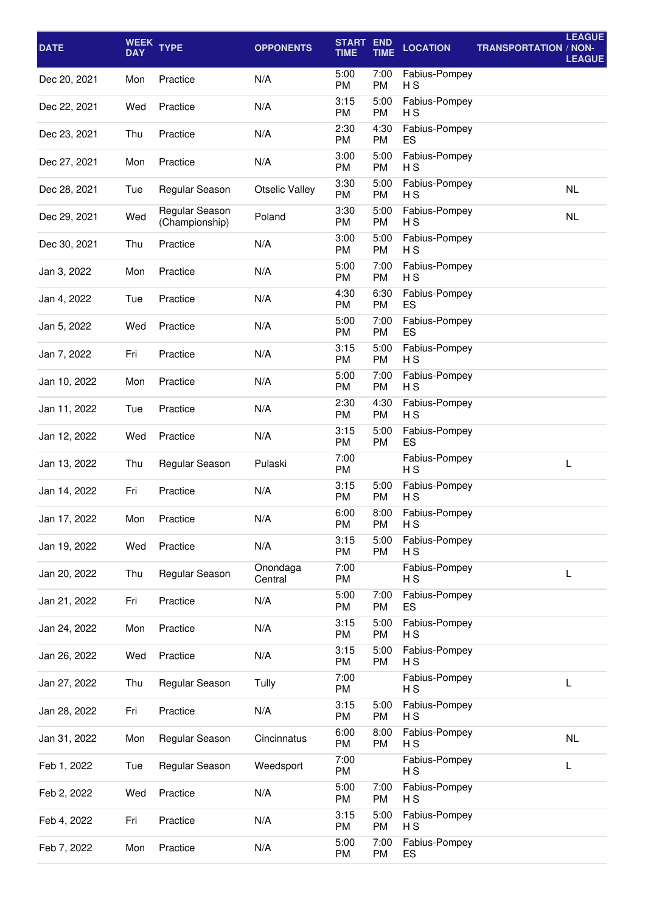| <b>DATE</b>  | <b>WEEK</b><br><b>DAY</b> | <b>TYPE</b>                      | <b>OPPONENTS</b>      | <b>START END</b><br><b>TIME</b> | <b>TIME</b>       | <b>LOCATION</b>      | <b>TRANSPORTATION / NON-</b> | <b>LEAGUE</b><br><b>LEAGUE</b> |
|--------------|---------------------------|----------------------------------|-----------------------|---------------------------------|-------------------|----------------------|------------------------------|--------------------------------|
| Dec 20, 2021 | Mon                       | Practice                         | N/A                   | 5:00<br>PM                      | 7:00<br><b>PM</b> | Fabius-Pompey<br>НS  |                              |                                |
| Dec 22, 2021 | Wed                       | Practice                         | N/A                   | 3:15<br>PM                      | 5:00<br><b>PM</b> | Fabius-Pompey<br>НS  |                              |                                |
| Dec 23, 2021 | Thu                       | Practice                         | N/A                   | 2:30<br>PM                      | 4:30<br><b>PM</b> | Fabius-Pompey<br>ES  |                              |                                |
| Dec 27, 2021 | Mon                       | Practice                         | N/A                   | 3:00<br>PM                      | 5:00<br><b>PM</b> | Fabius-Pompey<br>НS  |                              |                                |
| Dec 28, 2021 | Tue                       | Regular Season                   | <b>Otselic Valley</b> | 3:30<br>PM                      | 5:00<br><b>PM</b> | Fabius-Pompey<br>НS  |                              | NL                             |
| Dec 29, 2021 | Wed                       | Regular Season<br>(Championship) | Poland                | 3:30<br>PM                      | 5:00<br><b>PM</b> | Fabius-Pompey<br>НS  |                              | NL                             |
| Dec 30, 2021 | Thu                       | Practice                         | N/A                   | 3:00<br>PM                      | 5:00<br><b>PM</b> | Fabius-Pompey<br>H S |                              |                                |
| Jan 3, 2022  | Mon                       | Practice                         | N/A                   | 5:00<br>PM                      | 7:00<br><b>PM</b> | Fabius-Pompey<br>H S |                              |                                |
| Jan 4, 2022  | Tue                       | Practice                         | N/A                   | 4:30<br>PM                      | 6:30<br><b>PM</b> | Fabius-Pompey<br>ES  |                              |                                |
| Jan 5, 2022  | Wed                       | Practice                         | N/A                   | 5:00<br>PM                      | 7:00<br><b>PM</b> | Fabius-Pompey<br>ES  |                              |                                |
| Jan 7, 2022  | Fri                       | Practice                         | N/A                   | 3:15<br>PM                      | 5:00<br><b>PM</b> | Fabius-Pompey<br>НS  |                              |                                |
| Jan 10, 2022 | Mon                       | Practice                         | N/A                   | 5:00<br>PM                      | 7:00<br><b>PM</b> | Fabius-Pompey<br>НS  |                              |                                |
| Jan 11, 2022 | Tue                       | Practice                         | N/A                   | 2:30<br>PM                      | 4:30<br>PM        | Fabius-Pompey<br>нs  |                              |                                |
| Jan 12, 2022 | Wed                       | Practice                         | N/A                   | 3:15<br><b>PM</b>               | 5:00<br><b>PM</b> | Fabius-Pompey<br>ES  |                              |                                |
| Jan 13, 2022 | Thu                       | Regular Season                   | Pulaski               | 7:00<br><b>PM</b>               |                   | Fabius-Pompey<br>НS  |                              | L                              |
| Jan 14, 2022 | Fri                       | Practice                         | N/A                   | 3:15<br>PM                      | 5:00<br><b>PM</b> | Fabius-Pompey<br>H S |                              |                                |
| Jan 17, 2022 | Mon                       | Practice                         | N/A                   | 6:00<br>PM                      | 8:00<br><b>PM</b> | Fabius-Pompey<br>H S |                              |                                |
| Jan 19, 2022 | Wed                       | Practice                         | N/A                   | 3:15<br><b>PM</b>               | 5:00<br><b>PM</b> | Fabius-Pompey<br>НS  |                              |                                |
| Jan 20, 2022 | Thu                       | Regular Season                   | Onondaga<br>Central   | 7:00<br>PM                      |                   | Fabius-Pompey<br>НS  |                              | L                              |
| Jan 21, 2022 | Fri                       | Practice                         | N/A                   | 5:00<br>PM                      | 7:00<br><b>PM</b> | Fabius-Pompey<br>ES  |                              |                                |
| Jan 24, 2022 | Mon                       | Practice                         | N/A                   | 3:15<br>PM                      | 5:00<br><b>PM</b> | Fabius-Pompey<br>НS  |                              |                                |
| Jan 26, 2022 | Wed                       | Practice                         | N/A                   | 3:15<br>PM                      | 5:00<br><b>PM</b> | Fabius-Pompey<br>H S |                              |                                |
| Jan 27, 2022 | Thu                       | Regular Season                   | Tully                 | 7:00<br>PM                      |                   | Fabius-Pompey<br>НS  |                              | L                              |
| Jan 28, 2022 | Fri                       | Practice                         | N/A                   | 3:15<br>PM                      | 5:00<br><b>PM</b> | Fabius-Pompey<br>НS  |                              |                                |
| Jan 31, 2022 | Mon                       | Regular Season                   | Cincinnatus           | 6:00<br>PM                      | 8:00<br>PM        | Fabius-Pompey<br>H S |                              | <b>NL</b>                      |
| Feb 1, 2022  | Tue                       | Regular Season                   | Weedsport             | 7:00<br>PM                      |                   | Fabius-Pompey<br>НS  |                              | L                              |
| Feb 2, 2022  | Wed                       | Practice                         | N/A                   | 5:00<br>PM                      | 7:00<br><b>PM</b> | Fabius-Pompey<br>НS  |                              |                                |
| Feb 4, 2022  | Fri                       | Practice                         | N/A                   | 3:15<br>PM                      | 5:00<br>PM        | Fabius-Pompey<br>НS  |                              |                                |
| Feb 7, 2022  | Mon                       | Practice                         | N/A                   | 5:00<br>PM                      | 7:00<br>PM        | Fabius-Pompey<br>ES  |                              |                                |